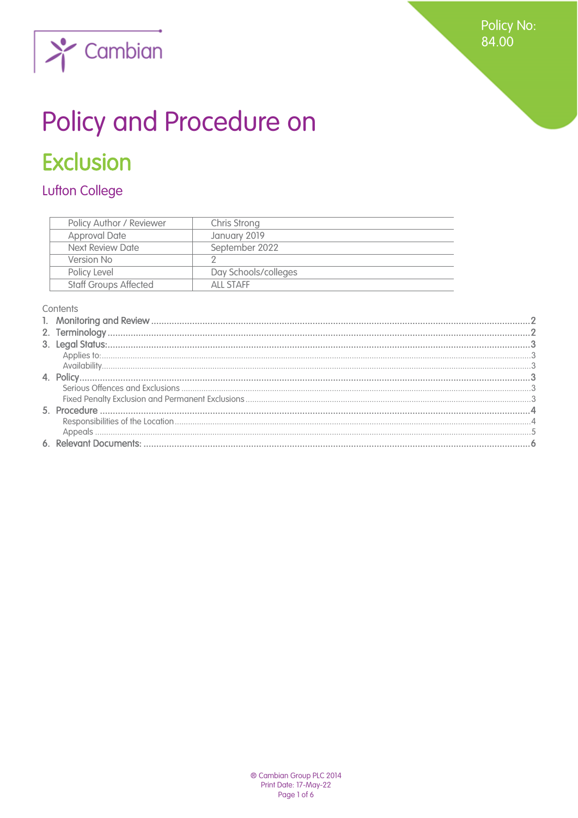

# Policy and Procedure on

# **Exclusion**

# **Lufton College**

| Policy Author / Reviewer     | Chris Strong         |
|------------------------------|----------------------|
| <b>Approval Date</b>         | January 2019         |
| Next Review Date             | September 2022       |
| Version No                   |                      |
| Policy Level                 | Day Schools/colleges |
| <b>Staff Groups Affected</b> | ALL STAFF            |

#### Contents

<span id="page-0-0"></span>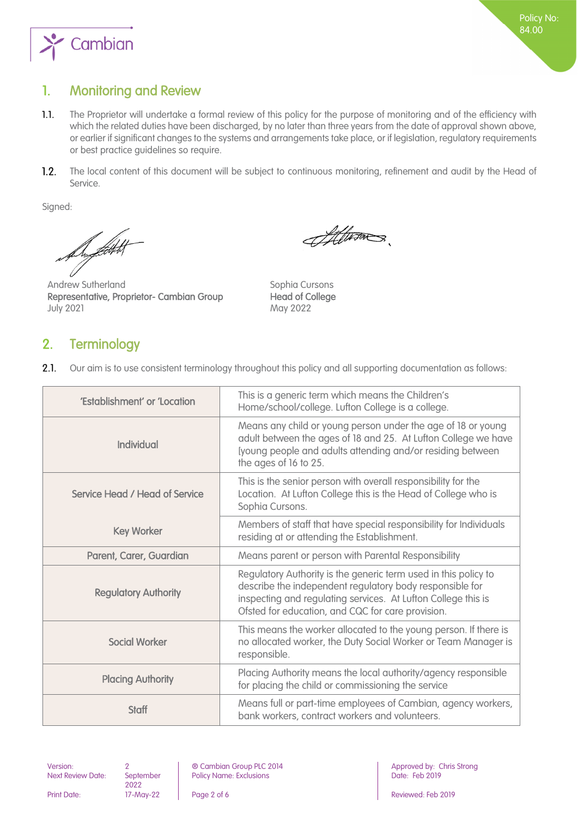

## 1. Monitoring and Review

- $1.1.$ The Proprietor will undertake a formal review of this policy for the purpose of monitoring and of the efficiency with which the related duties have been discharged, by no later than three years from the date of approval shown above, or earlier if significant changes to the systems and arrangements take place, or if legislation, regulatory requirements or best practice guidelines so require.
- $1.2.$ The local content of this document will be subject to continuous monitoring, refinement and audit by the Head of Service.

Signed:

De først

Andrew Sutherland Sophia Cursons Representative, Proprietor- Cambian Group Head of College July 2021 May 2022

Afterno

# <span id="page-1-0"></span>2. Terminology

 $2.1.$ Our aim is to use consistent terminology throughout this policy and all supporting documentation as follows:

| 'Establishment' or 'Location   | This is a generic term which means the Children's<br>Home/school/college. Lufton College is a college.                                                                                                                                            |
|--------------------------------|---------------------------------------------------------------------------------------------------------------------------------------------------------------------------------------------------------------------------------------------------|
| Individual                     | Means any child or young person under the age of 18 or young<br>adult between the ages of 18 and 25. At Lufton College we have<br>[young people and adults attending and/or residing between<br>the ages of 16 to 25.                             |
| Service Head / Head of Service | This is the senior person with overall responsibility for the<br>Location. At Lufton College this is the Head of College who is<br>Sophia Cursons.                                                                                                |
| <b>Key Worker</b>              | Members of staff that have special responsibility for Individuals<br>residing at or attending the Establishment.                                                                                                                                  |
| Parent, Carer, Guardian        | Means parent or person with Parental Responsibility                                                                                                                                                                                               |
| <b>Regulatory Authority</b>    | Regulatory Authority is the generic term used in this policy to<br>describe the independent regulatory body responsible for<br>inspecting and regulating services. At Lufton College this is<br>Ofsted for education, and CQC for care provision. |
| <b>Social Worker</b>           | This means the worker allocated to the young person. If there is<br>no allocated worker, the Duty Social Worker or Team Manager is<br>responsible.                                                                                                |
| <b>Placing Authority</b>       | Placing Authority means the local authority/agency responsible<br>for placing the child or commissioning the service                                                                                                                              |
| <b>Staff</b>                   | Means full or part-time employees of Cambian, agency workers,<br>bank workers, contract workers and volunteers.                                                                                                                                   |

Next Review Date: September

2022<br>17-May-22

Version: 2 and 2 **and 2 8** Cambian Group PLC 2014 **Approved by: Chris Strong** Policy Name: Exclusions **Date: Feb 2019** 

Print Date: 17-May-22 Page 2 of 6 Reviewed: Feb 2019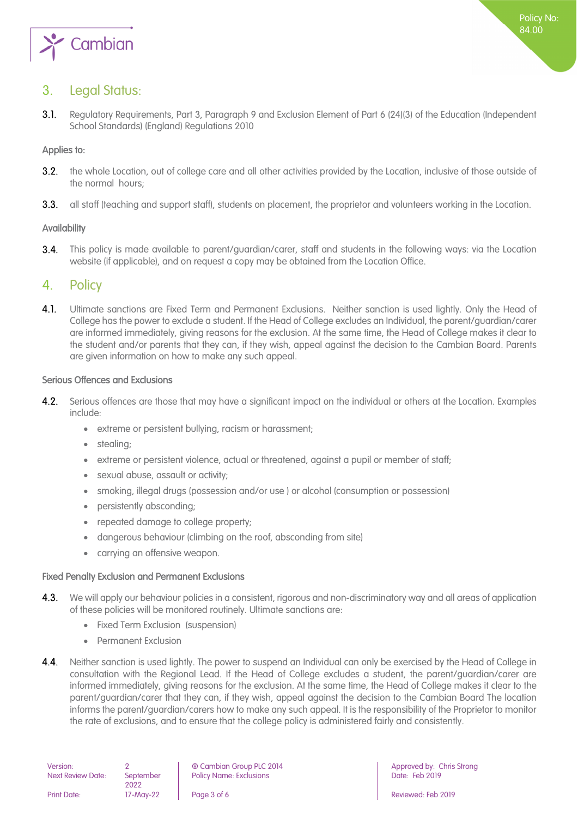

## <span id="page-2-0"></span>3. Legal Status:

 $31$ Regulatory Requirements, Part 3, Paragraph 9 and Exclusion Element of Part 6 (24)(3) of the Education (Independent School Standards) (England) Regulations 2010

#### <span id="page-2-1"></span>Applies to:

- $3.2.$ the whole Location, out of college care and all other activities provided by the Location, inclusive of those outside of the normal hours;
- <span id="page-2-2"></span> $3.3.$ all staff (teaching and support staff), students on placement, the proprietor and volunteers working in the Location.

#### Availability

 $3.4.$ This policy is made available to parent/guardian/carer, staff and students in the following ways: via the Location website (if applicable), and on request a copy may be obtained from the Location Office.

#### <span id="page-2-3"></span>4. Policy

4.1 Ultimate sanctions are Fixed Term and Permanent Exclusions. Neither sanction is used lightly. Only the Head of College has the power to exclude a student. If the Head of College excludes an Individual, the parent/guardian/carer are informed immediately, giving reasons for the exclusion. At the same time, the Head of College makes it clear to the student and/or parents that they can, if they wish, appeal against the decision to the Cambian Board. Parents are given information on how to make any such appeal.

#### <span id="page-2-4"></span>Serious Offences and Exclusions

- 42 Serious offences are those that may have a significant impact on the individual or others at the Location. Examples include:
	- extreme or persistent bullying, racism or harassment;
	- stealing:
	- extreme or persistent violence, actual or threatened, against a pupil or member of staff;
	- sexual abuse, assault or activity;
	- smoking, illegal drugs (possession and/or use ) or alcohol (consumption or possession)
	- persistently absconding;
	- repeated damage to college property;
	- dangerous behaviour (climbing on the roof, absconding from site)
	- carrying an offensive weapon.

#### <span id="page-2-5"></span>Fixed Penalty Exclusion and Permanent Exclusions

- $4.3.$ We will apply our behaviour policies in a consistent, rigorous and non-discriminatory way and all areas of application of these policies will be monitored routinely. Ultimate sanctions are:
	- Fixed Term Exclusion (suspension)
	- Permanent Exclusion
- 44 Neither sanction is used lightly. The power to suspend an Individual can only be exercised by the Head of College in consultation with the Regional Lead. If the Head of College excludes a student, the parent/guardian/carer are informed immediately, giving reasons for the exclusion. At the same time, the Head of College makes it clear to the parent/guardian/carer that they can, if they wish, appeal against the decision to the Cambian Board The location informs the parent/guardian/carers how to make any such appeal. It is the responsibility of the Proprietor to monitor the rate of exclusions, and to ensure that the college policy is administered fairly and consistently.

2022<br>17-May-22

Version: 2 **2 a 1** © Cambian Group PLC 2014 **Approved by: Chris Strong** Policy Name: Exclusions **Date: Feb 2019** 

Print Date: 17-May-22 Page 3 of 6 Reviewed: Feb 2019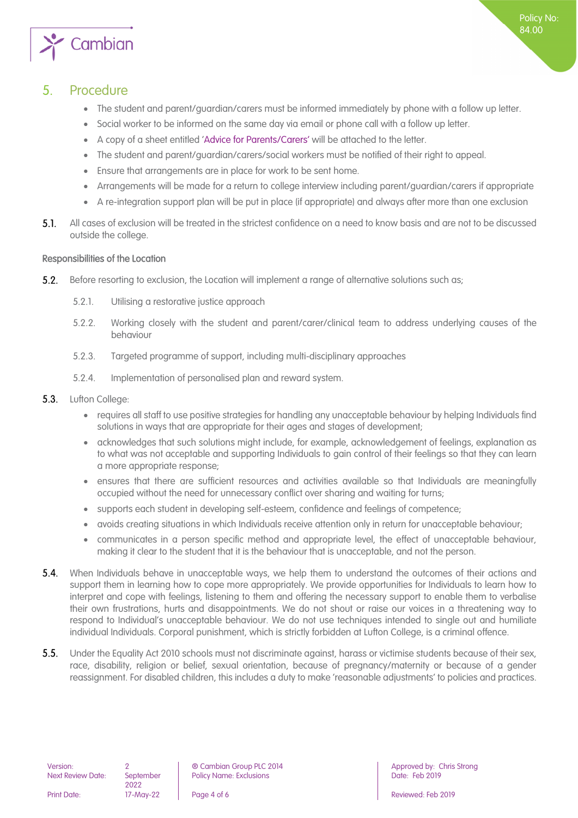

- <span id="page-3-0"></span>The student and parent/guardian/carers must be informed immediately by phone with a follow up letter.
- Social worker to be informed on the same day via email or phone call with a follow up letter.
- A copy of a sheet entitled 'Advice for Parents/Carers' will be attached to the letter.
- The student and parent/guardian/carers/social workers must be notified of their right to appeal.
- Ensure that arrangements are in place for work to be sent home.
- Arrangements will be made for a return to college interview including parent/guardian/carers if appropriate
- A re-integration support plan will be put in place (if appropriate) and always after more than one exclusion
- $5.1.$ All cases of exclusion will be treated in the strictest confidence on a need to know basis and are not to be discussed outside the college.

#### <span id="page-3-1"></span>Responsibilities of the Location

- Before resorting to exclusion, the Location will implement a range of alternative solutions such as;  $5.2.$ 
	- 5.2.1. Utilising a restorative justice approach
	- 5.2.2. Working closely with the student and parent/carer/clinical team to address underlying causes of the behaviour
	- 5.2.3. Targeted programme of support, including multi-disciplinary approaches
	- 5.2.4. Implementation of personalised plan and reward system.
- $5.3.$ Lufton College:
	- requires all staff to use positive strategies for handling any unacceptable behaviour by helping Individuals find solutions in ways that are appropriate for their ages and stages of development;
	- acknowledges that such solutions might include, for example, acknowledgement of feelings, explanation as to what was not acceptable and supporting Individuals to gain control of their feelings so that they can learn a more appropriate response;
	- ensures that there are sufficient resources and activities available so that Individuals are meaningfully occupied without the need for unnecessary conflict over sharing and waiting for turns;
	- supports each student in developing self-esteem, confidence and feelings of competence;
	- avoids creating situations in which Individuals receive attention only in return for unacceptable behaviour;
	- communicates in a person specific method and appropriate level, the effect of unacceptable behaviour, making it clear to the student that it is the behaviour that is unacceptable, and not the person.
- **5.4.** When Individuals behave in unacceptable ways, we help them to understand the outcomes of their actions and support them in learning how to cope more appropriately. We provide opportunities for Individuals to learn how to interpret and cope with feelings, listening to them and offering the necessary support to enable them to verbalise their own frustrations, hurts and disappointments. We do not shout or raise our voices in a threatening way to respond to Individual's unacceptable behaviour. We do not use techniques intended to single out and humiliate individual Individuals. Corporal punishment, which is strictly forbidden at Lufton College, is a criminal offence.
- $5.5.$ Under the Equality Act 2010 schools must not discriminate against, harass or victimise students because of their sex, race, disability, religion or belief, sexual orientation, because of pregnancy/maternity or because of a gender reassignment. For disabled children, this includes a duty to make 'reasonable adjustments' to policies and practices.

2022

Version: 2 **2 a 1** © Cambian Group PLC 2014 **Approved by: Chris Strong** Policy Name: Exclusions **Date: Feb 2019** 

Policy No: 84.00

Print Date: 17-May-22 Page 4 of 6 Reviewed: Feb 2019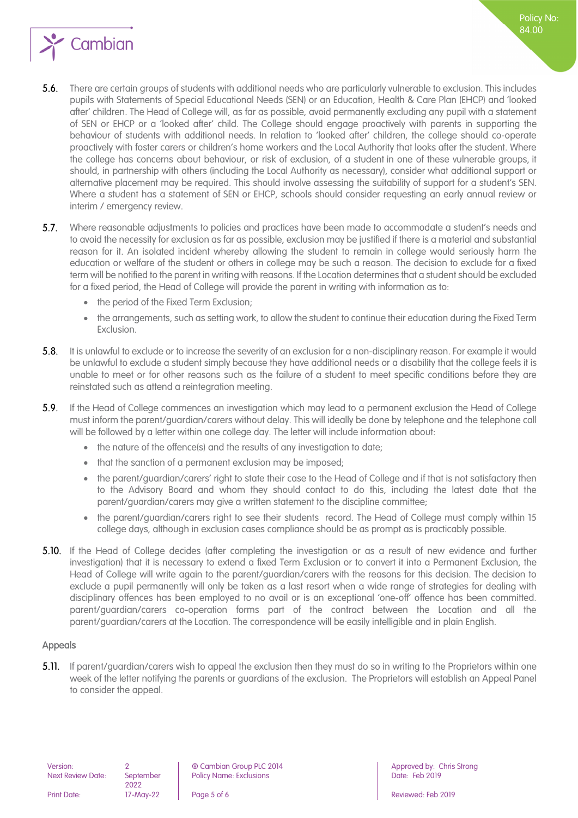

- $5.6.$ There are certain groups of students with additional needs who are particularly vulnerable to exclusion. This includes pupils with Statements of Special Educational Needs (SEN) or an Education, Health & Care Plan (EHCP) and 'looked after' children. The Head of College will, as far as possible, avoid permanently excluding any pupil with a statement of SEN or EHCP or a 'looked after' child. The College should engage proactively with parents in supporting the behaviour of students with additional needs. In relation to 'looked after' children, the college should co-operate proactively with foster carers or children's home workers and the Local Authority that looks after the student. Where the college has concerns about behaviour, or risk of exclusion, of a student in one of these vulnerable groups, it should, in partnership with others (including the Local Authority as necessary), consider what additional support or alternative placement may be required. This should involve assessing the suitability of support for a student's SEN. Where a student has a statement of SEN or EHCP, schools should consider requesting an early annual review or interim / emergency review.
- 5.7. Where reasonable adjustments to policies and practices have been made to accommodate a student's needs and to avoid the necessity for exclusion as far as possible, exclusion may be justified if there is a material and substantial reason for it. An isolated incident whereby allowing the student to remain in college would seriously harm the education or welfare of the student or others in college may be such a reason. The decision to exclude for a fixed term will be notified to the parent in writing with reasons. If the Location determines that a student should be excluded for a fixed period, the Head of College will provide the parent in writing with information as to:
	- the period of the Fixed Term Exclusion;
	- the arrangements, such as setting work, to allow the student to continue their education during the Fixed Term Exclusion.
- $5.8.$ It is unlawful to exclude or to increase the severity of an exclusion for a non-disciplinary reason. For example it would be unlawful to exclude a student simply because they have additional needs or a disability that the college feels it is unable to meet or for other reasons such as the failure of a student to meet specific conditions before they are reinstated such as attend a reintegration meeting.
- 5.9. If the Head of College commences an investigation which may lead to a permanent exclusion the Head of College must inform the parent/guardian/carers without delay. This will ideally be done by telephone and the telephone call will be followed by a letter within one college day. The letter will include information about:
	- the nature of the offence(s) and the results of any investigation to date;
	- that the sanction of a permanent exclusion may be imposed;
	- the parent/guardian/carers' right to state their case to the Head of College and if that is not satisfactory then to the Advisory Board and whom they should contact to do this, including the latest date that the parent/guardian/carers may give a written statement to the discipline committee;
	- the parent/guardian/carers right to see their students record. The Head of College must comply within 15 college days, although in exclusion cases compliance should be as prompt as is practicably possible.
- **5.10.** If the Head of College decides (after completing the investigation or as a result of new evidence and further investigation) that it is necessary to extend a fixed Term Exclusion or to convert it into a Permanent Exclusion, the Head of College will write again to the parent/guardian/carers with the reasons for this decision. The decision to exclude a pupil permanently will only be taken as a last resort when a wide range of strategies for dealing with disciplinary offences has been employed to no avail or is an exceptional 'one-off' offence has been committed. parent/guardian/carers co-operation forms part of the contract between the Location and all the parent/guardian/carers at the Location. The correspondence will be easily intelligible and in plain English.

#### <span id="page-4-0"></span>Appeals

**5.11.** If parent/guardian/carers wish to appeal the exclusion then they must do so in writing to the Proprietors within one week of the letter notifying the parents or guardians of the exclusion. The Proprietors will establish an Appeal Panel to consider the appeal.

Next Review Date:

2022

Version: 2 ® Cambian Group PLC 2014 Approved by: Chris Strong Policy Name: Exclusions

Print Date: 17-May-22 **Page 5 of 6** Reviewed: Feb 2019